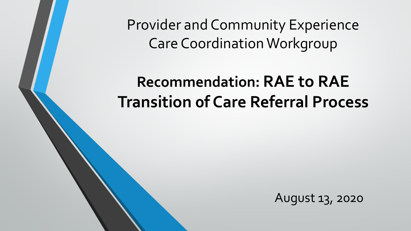Provider and Community Experience Care Coordination Workgroup

## **Recommendation: RAE to RAE Transition 0f Care Referral Process**

August 13, 2020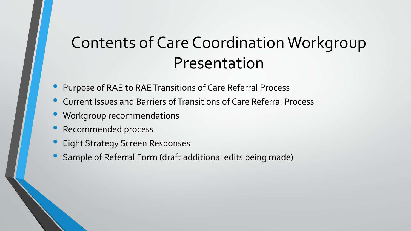## Contents of Care Coordination Workgroup Presentation

- Purpose of RAE to RAE Transitions of Care Referral Process
- Current Issues and Barriers of Transitions of Care Referral Process
- Workgroup recommendations
- Recommended process
- Eight Strategy Screen Responses
- Sample of Referral Form (draft additional edits being made)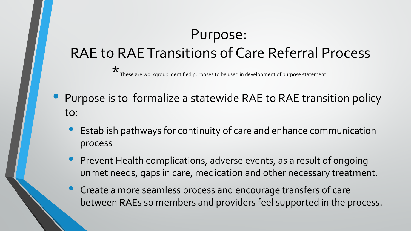## Purpose:

## RAE to RAE Transitions of Care Referral Process

 $\star$  These are workgroup identified purposes to be used in development of purpose statement

- Purpose is to formalize a statewide RAE to RAE transition policy to:
	- Establish pathways for continuity of care and enhance communication process
	- Prevent Health complications, adverse events, as a result of ongoing unmet needs, gaps in care, medication and other necessary treatment.
	- Create a more seamless process and encourage transfers of care between RAEs so members and providers feel supported in the process.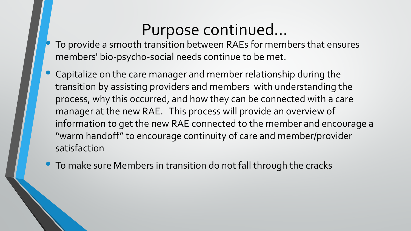## Purpose continued…

- To provide a smooth transition between RAEs for members that ensures members' bio-psycho-social needs continue to be met.
- Capitalize on the care manager and member relationship during the transition by assisting providers and members with understanding the process, why this occurred, and how they can be connected with a care manager at the new RAE. This process will provide an overview of information to get the new RAE connected to the member and encourage a "warm handoff" to encourage continuity of care and member/provider satisfaction
- To make sure Members in transition do not fall through the cracks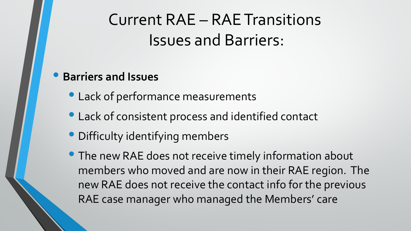Current RAE – RAE Transitions Issues and Barriers:

#### • **Barriers and Issues**

- Lack of performance measurements
- Lack of consistent process and identified contact
- Difficulty identifying members
- The new RAE does not receive timely information about members who moved and are now in their RAE region. The new RAE does not receive the contact info for the previous RAE case manager who managed the Members' care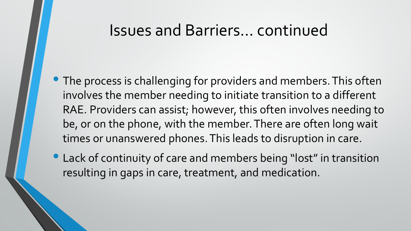## Issues and Barriers… continued

- The process is challenging for providers and members. This often involves the member needing to initiate transition to a different RAE. Providers can assist; however, this often involves needing to be, or on the phone, with the member. There are often long wait times or unanswered phones. This leads to disruption in care.
- Lack of continuity of care and members being "lost" in transition resulting in gaps in care, treatment, and medication.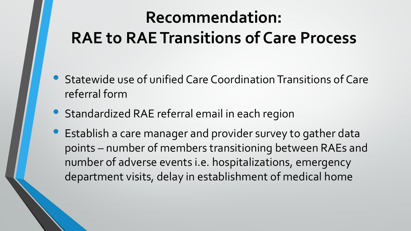# **Recommendation: RAE to RAE Transitions of Care Process**

- Statewide use of unified Care Coordination Transitions of Care referral form
- Standardized RAE referral email in each region
- Establish a care manager and provider survey to gather data points – number of members transitioning between RAEs and number of adverse events i.e. hospitalizations, emergency department visits, delay in establishment of medical home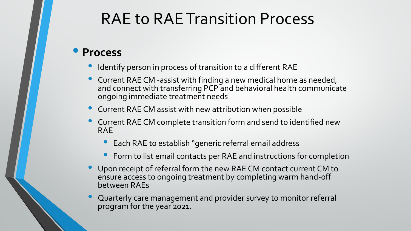## RAE to RAE Transition Process

#### • **Process**

- Identify person in process of transition to a different RAE
- Current RAE CM -assist with finding a new medical home as needed, and connect with transferring PCP and behavioral health communicate ongoing immediate treatment needs
- **Current RAE CM assist with new attribution when possible**
- Current RAE CM complete transition form and send to identified new RAE
	- Each RAE to establish "generic referral email address
	- Form to list email contacts per RAE and instructions for completion
- Upon receipt of referral form the new RAE CM contact current CM to ensure access to ongoing treatment by completing warm hand-off between RAEs
- Quarterly care management and provider survey to monitor referral program for the year 2021.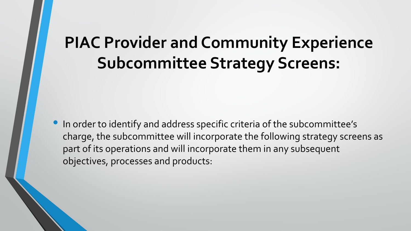## **PIAC Provider and Community Experience Subcommittee Strategy Screens:**

• In order to identify and address specific criteria of the subcommittee's charge, the subcommittee will incorporate the following strategy screens as part of its operations and will incorporate them in any subsequent objectives, processes and products: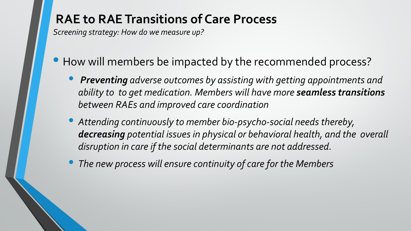#### **RAE to RAE Transitions of Care Process**

*Screening strategy: How do we measure up?*

- How will members be impacted by the recommended process?
	- *Preventing adverse outcomes by assisting with getting appointments and ability to to get medication. Members will have more seamless transitions between RAEs and improved care coordination*
	- *Attending continuously to member bio-psycho-social needs thereby, decreasing potential issues in physical or behavioral health, and the overall disruption in care if the social determinants are not addressed.*
	- *The new process will ensure continuity of care for the Members*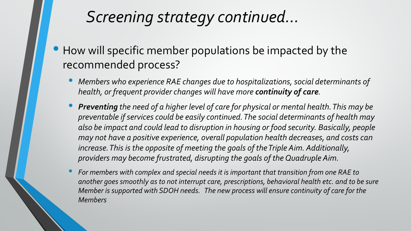## *Screening strategy continued…*

- How will specific member populations be impacted by the recommended process?
	- *Members who experience RAE changes due to hospitalizations, social determinants of health, or frequent provider changes will have more continuity of care.*
	- *Preventing the need of a higher level of care for physical or mental health. This may be preventable if services could be easily continued. The social determinants of health may also be impact and could lead to disruption in housing or food security. Basically, people may not have a positive experience, overall population health decreases, and costs can increase. This is the opposite of meeting the goals of the Triple Aim. Additionally, providers may become frustrated, disrupting the goals of the Quadruple Aim.*
	- *For members with complex and special needs it is important that transition from one RAE to another goes smoothly as to not interrupt care, prescriptions, behavioral health etc. and to be sure Member is supported with SDOH needs. The new process will ensure continuity of care for the Members*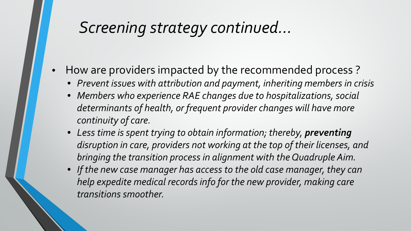## *Screening strategy continued…*

- How are providers impacted by the recommended process ?
	- *Prevent issues with attribution and payment, inheriting members in crisis*
	- *Members who experience RAE changes due to hospitalizations, social determinants of health, or frequent provider changes will have more continuity of care.*
	- Less time is spent trying to obtain information; thereby, preventing *disruption in care, providers not working at the top of their licenses, and bringing the transition process in alignment with the Quadruple Aim.*
	- *If the new case manager has access to the old case manager, they can help expedite medical records info for the new provider, making care transitions smoother.*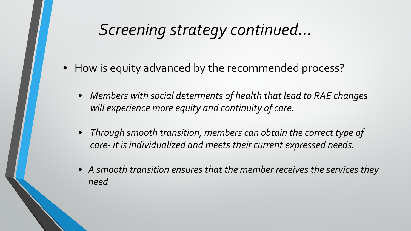## *Screening strategy continued…*

- How is equity advanced by the recommended process?
	- *Members with social determents of health that lead to RAE changes will experience more equity and continuity of care.*
	- *Through smooth transition, members can obtain the correct type of care- it is individualized and meets their current expressed needs.*
	- *A smooth transition ensures that the member receives the services they need*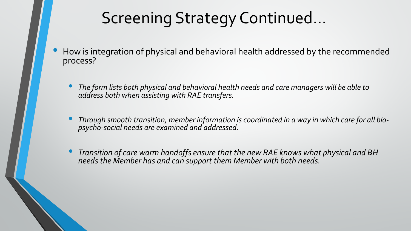## Screening Strategy Continued…

- How is integration of physical and behavioral health addressed by the recommended process?
	- *The form lists both physical and behavioral health needs and care managers will be able to address both when assisting with RAE transfers.*
	- *Through smooth transition, member information is coordinated in a way in which care for all bio- psycho-social needs are examined and addressed.*
	- *Transition of care warm handoffs ensure that the new RAE knows what physical and BH needs the Member has and can support them Member with both needs.*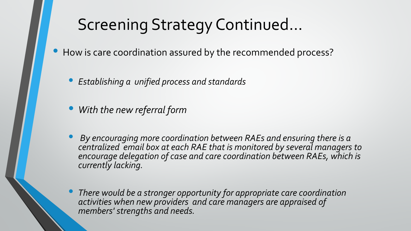## Screening Strategy Continued…

How is care coordination assured by the recommended process?

• *Establishing a unified process and standards*

- *With the new referral form*
- *By encouraging more coordination between RAEs and ensuring there is a centralized email box at each RAE that is monitored by several managers to encourage delegation of case and care coordination between RAEs, which is currently lacking.*
- *There would be a stronger opportunity for appropriate care coordination activities when new providers and care managers are appraised of members' strengths and needs.*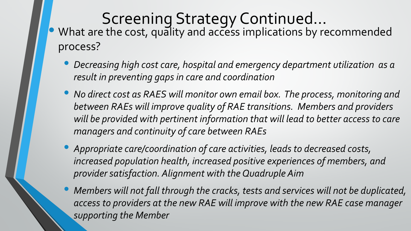- Screening Strategy Continued...<br>What are the cost, quality and access implications by recommended process?
	- *Decreasing high cost care, hospital and emergency department utilization as a result in preventing gaps in care and coordination*
	- *No direct cost as RAES will monitor own email box. The process, monitoring and between RAEs will improve quality of RAE transitions. Members and providers*  will be provided with pertinent information that will lead to better access to care *managers and continuity of care between RAEs*
	- *Appropriate care/coordination of care activities, leads to decreased costs, increased population health, increased positive experiences of members, and provider satisfaction. Alignment with the Quadruple Aim*
	- *Members will not fall through the cracks, tests and services will not be duplicated,*  access to providers at the new RAE will improve with the new RAE case manager *supporting the Member*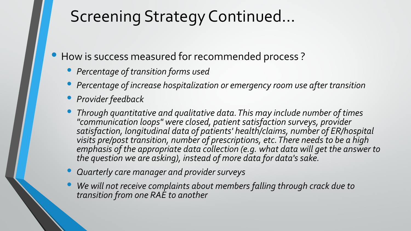## Screening Strategy Continued…

• How is success measured for recommended process ?

- *Percentage of transition forms used*
- *Percentage of increase hospitalization or emergency room use after transition*
- *Provider feedback*
- *Through quantitative and qualitative data. This may include number of times "communication loops" were closed, patient satisfaction surveys, provider satisfaction, longitudinal data of patients' health/claims, number of ER/hospital visits pre/post transition, number of prescriptions, etc. There needs to be a high emphasis of the appropriate data collection (e.g. what data will get the answer to the question we are asking), instead of more data for data's sake.*
- *Quarterly care manager and provider surveys*
- *We will not receive complaints about members falling through crack due to transition from one RAE to another*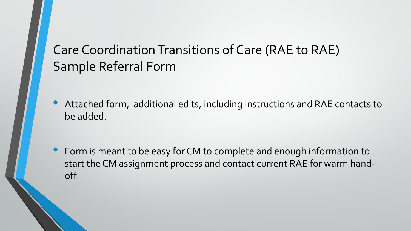### Care Coordination Transitions of Care (RAE to RAE) Sample Referral Form

• Attached form, additional edits, including instructions and RAE contacts to be added.

• Form is meant to be easy for CM to complete and enough information to start the CM assignment process and contact current RAE for warm handoff